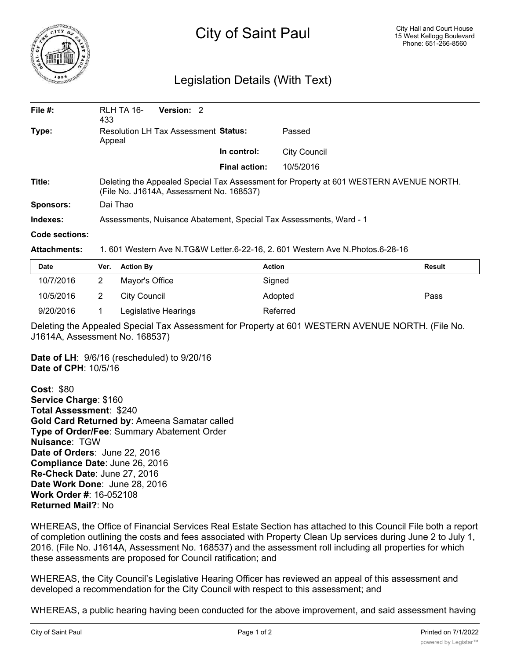

## City of Saint Paul

## Legislation Details (With Text)

| File $#$ :     | RLH TA 16-<br>433                                                                                                                  | Version: 2 |                      |                     |  |  |
|----------------|------------------------------------------------------------------------------------------------------------------------------------|------------|----------------------|---------------------|--|--|
| Type:          | Resolution LH Tax Assessment Status:<br>Appeal                                                                                     |            |                      | Passed              |  |  |
|                |                                                                                                                                    |            | In control:          | <b>City Council</b> |  |  |
|                |                                                                                                                                    |            | <b>Final action:</b> | 10/5/2016           |  |  |
| Title:         | Deleting the Appealed Special Tax Assessment for Property at 601 WESTERN AVENUE NORTH.<br>(File No. J1614A, Assessment No. 168537) |            |                      |                     |  |  |
| Sponsors:      | Dai Thao                                                                                                                           |            |                      |                     |  |  |
| Indexes:       | Assessments, Nuisance Abatement, Special Tax Assessments, Ward - 1                                                                 |            |                      |                     |  |  |
| Code sections: |                                                                                                                                    |            |                      |                     |  |  |

**Attachments:** 1. 601 Western Ave N.TG&W Letter.6-22-16, 2. 601 Western Ave N.Photos.6-28-16

| <b>Date</b> | Ver. Action By       | <b>Action</b> | <b>Result</b> |
|-------------|----------------------|---------------|---------------|
| 10/7/2016   | Mayor's Office       | Signed        |               |
| 10/5/2016   | City Council         | Adopted       | Pass          |
| 9/20/2016   | Legislative Hearings | Referred      |               |

Deleting the Appealed Special Tax Assessment for Property at 601 WESTERN AVENUE NORTH. (File No. J1614A, Assessment No. 168537)

**Date of LH**: 9/6/16 (rescheduled) to 9/20/16 **Date of CPH**: 10/5/16

**Cost**: \$80 **Service Charge**: \$160 **Total Assessment**: \$240 **Gold Card Returned by**: Ameena Samatar called **Type of Order/Fee**: Summary Abatement Order **Nuisance**: TGW **Date of Orders**: June 22, 2016 **Compliance Date**: June 26, 2016 **Re-Check Date**: June 27, 2016 **Date Work Done**: June 28, 2016 **Work Order #**: 16-052108 **Returned Mail?**: No

WHEREAS, the Office of Financial Services Real Estate Section has attached to this Council File both a report of completion outlining the costs and fees associated with Property Clean Up services during June 2 to July 1, 2016. (File No. J1614A, Assessment No. 168537) and the assessment roll including all properties for which these assessments are proposed for Council ratification; and

WHEREAS, the City Council's Legislative Hearing Officer has reviewed an appeal of this assessment and developed a recommendation for the City Council with respect to this assessment; and

WHEREAS, a public hearing having been conducted for the above improvement, and said assessment having